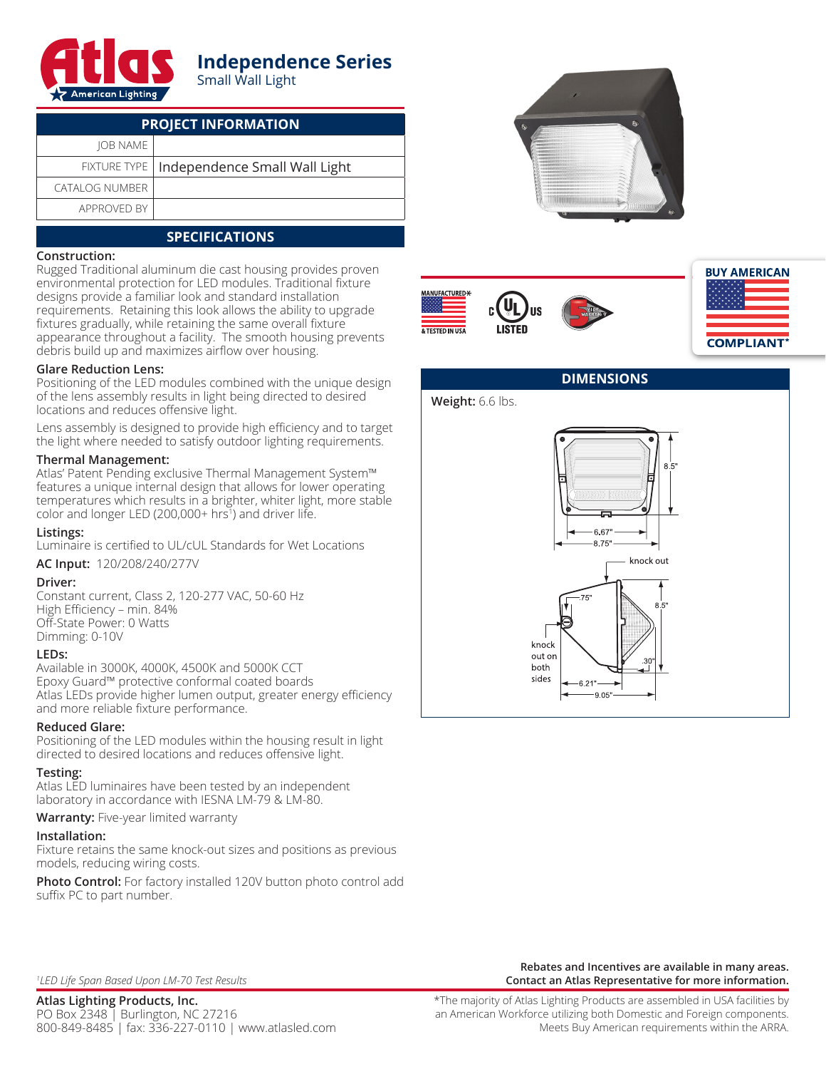

# **Independence Series** Small Wall Light

| <b>PROJECT INFORMATION</b> |                                              |  |  |  |
|----------------------------|----------------------------------------------|--|--|--|
| <b>JOB NAME</b>            |                                              |  |  |  |
|                            | FIXTURE TYPE   Independence Small Wall Light |  |  |  |
| <b>CATALOG NUMBER</b>      |                                              |  |  |  |
| APPROVED BY                |                                              |  |  |  |

# **SPECIFICATIONS**

### **Construction:**

Rugged Traditional aluminum die cast housing provides proven environmental protection for LED modules. Traditional fixture designs provide a familiar look and standard installation requirements. Retaining this look allows the ability to upgrade fixtures gradually, while retaining the same overall fixture appearance throughout a facility. The smooth housing prevents debris build up and maximizes airflow over housing.

### **Glare Reduction Lens:**

Positioning of the LED modules combined with the unique design of the lens assembly results in light being directed to desired locations and reduces offensive light.

Lens assembly is designed to provide high efficiency and to target the light where needed to satisfy outdoor lighting requirements.

### **Thermal Management:**

Atlas' Patent Pending exclusive Thermal Management System™ features a unique internal design that allows for lower operating temperatures which results in a brighter, whiter light, more stable color and longer LED (200,000+ hrs<sup>1</sup> ) and driver life.

#### **Listings:**

Luminaire is certified to UL/cUL Standards for Wet Locations

**AC Input:** 120/208/240/277V

#### **Driver:**

Constant current, Class 2, 120-277 VAC, 50-60 Hz High Efficiency – min. 84% Off-State Power: 0 Watts Dimming: 0-10V

#### **LEDs:**

Available in 3000K, 4000K, 4500K and 5000K CCT Epoxy Guard™ protective conformal coated boards Atlas LEDs provide higher lumen output, greater energy efficiency and more reliable fixture performance.

#### **Reduced Glare:**

Positioning of the LED modules within the housing result in light directed to desired locations and reduces offensive light.

## **Testing:**

Atlas LED luminaires have been tested by an independent laboratory in accordance with IESNA LM-79 & LM-80.

**Warranty:** Five-year limited warranty

#### **Installation:**

Fixture retains the same knock-out sizes and positions as previous models, reducing wiring costs.

**Photo Control:** For factory installed 120V button photo control add suffix PC to part number.











## *1 LED Life Span Based Upon LM-70 Test Results*

**Atlas Lighting Products, Inc.** PO Box 2348 | Burlington, NC 27216 800-849-8485 | fax: 336-227-0110 | www.atlasled.com

**Rebates and Incentives are available in many areas. Contact an Atlas Representative for more information.**